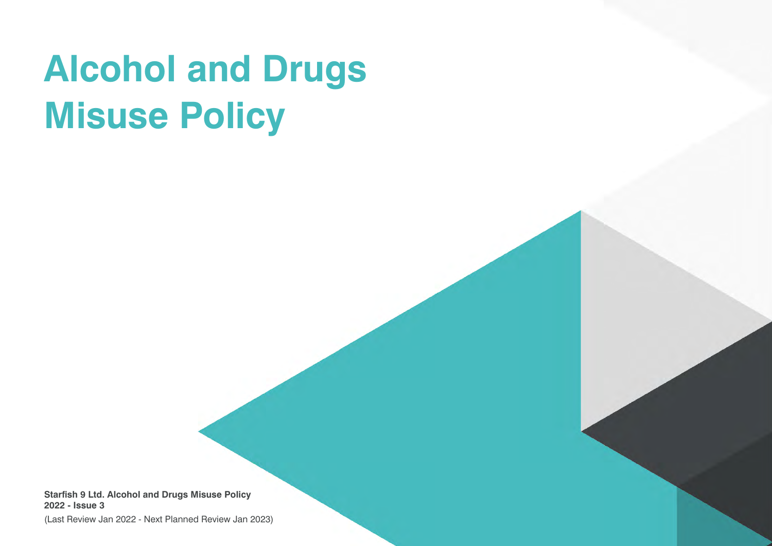# **Alcohol and Drugs Misuse Policy**

**Starfish 9 Ltd. Alcohol and Drugs Misuse Policy 2022 - Issue 3**

(Last Review Jan 2022 - Next Planned Review Jan 2023)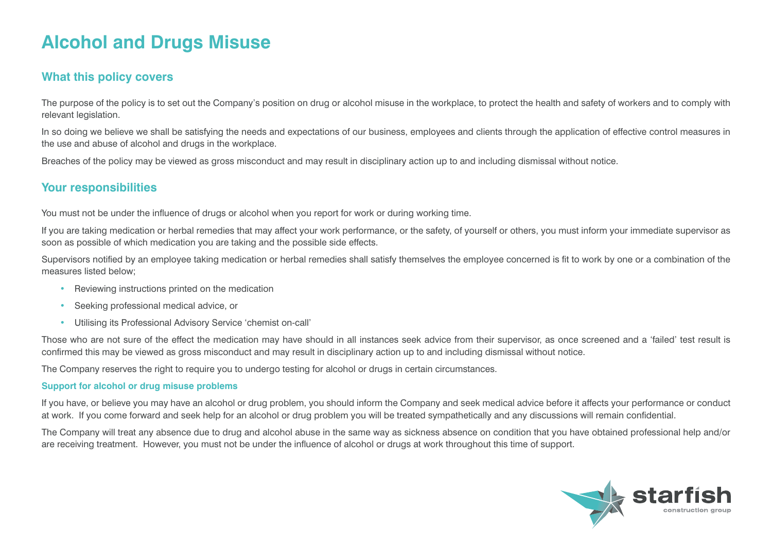## **Alcohol and Drugs Misuse**

### **What this policy covers**

The purpose of the policy is to set out the Company's position on drug or alcohol misuse in the workplace, to protect the health and safety of workers and to comply with relevant legislation.

In so doing we believe we shall be satisfying the needs and expectations of our business, employees and clients through the application of effective control measures in the use and abuse of alcohol and drugs in the workplace.

Breaches of the policy may be viewed as gross misconduct and may result in disciplinary action up to and including dismissal without notice.

### **Your responsibilities**

You must not be under the influence of drugs or alcohol when you report for work or during working time.

If you are taking medication or herbal remedies that may affect your work performance, or the safety, of yourself or others, you must inform your immediate supervisor as soon as possible of which medication you are taking and the possible side effects.

Supervisors notified by an employee taking medication or herbal remedies shall satisfy themselves the employee concerned is fit to work by one or a combination of the measures listed below;

- Reviewing instructions printed on the medication
- Seeking professional medical advice, or
- Utilising its Professional Advisory Service 'chemist on-call'

Those who are not sure of the effect the medication may have should in all instances seek advice from their supervisor, as once screened and a 'failed' test result is confirmed this may be viewed as gross misconduct and may result in disciplinary action up to and including dismissal without notice.

The Company reserves the right to require you to undergo testing for alcohol or drugs in certain circumstances.

#### **Support for alcohol or drug misuse problems**

If you have, or believe you may have an alcohol or drug problem, you should inform the Company and seek medical advice before it affects your performance or conduct at work. If you come forward and seek help for an alcohol or drug problem you will be treated sympathetically and any discussions will remain confidential.

The Company will treat any absence due to drug and alcohol abuse in the same way as sickness absence on condition that you have obtained professional help and/or are receiving treatment. However, you must not be under the influence of alcohol or drugs at work throughout this time of support.